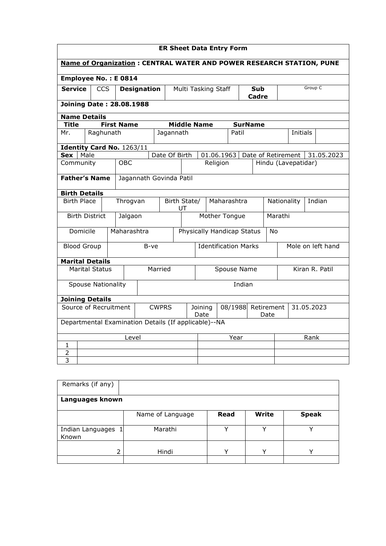| <b>ER Sheet Data Entry Form</b>                                             |                                                         |  |                   |      |                                                                |                             |                    |               |              |                            |                   |                     |                 |  |                |
|-----------------------------------------------------------------------------|---------------------------------------------------------|--|-------------------|------|----------------------------------------------------------------|-----------------------------|--------------------|---------------|--------------|----------------------------|-------------------|---------------------|-----------------|--|----------------|
| <b>Name of Organization: CENTRAL WATER AND POWER RESEARCH STATION, PUNE</b> |                                                         |  |                   |      |                                                                |                             |                    |               |              |                            |                   |                     |                 |  |                |
| Employee No.: E0814                                                         |                                                         |  |                   |      |                                                                |                             |                    |               |              |                            |                   |                     |                 |  |                |
| Service                                                                     | <b>CCS</b><br>Multi Tasking Staff<br><b>Designation</b> |  |                   |      |                                                                |                             |                    |               | Sub<br>Cadre |                            | Group C           |                     |                 |  |                |
|                                                                             | <b>Joining Date: 28.08.1988</b>                         |  |                   |      |                                                                |                             |                    |               |              |                            |                   |                     |                 |  |                |
| <b>Name Details</b>                                                         |                                                         |  |                   |      |                                                                |                             |                    |               |              |                            |                   |                     |                 |  |                |
| <b>Title</b>                                                                |                                                         |  | <b>First Name</b> |      |                                                                |                             | <b>Middle Name</b> |               |              |                            | <b>SurName</b>    |                     |                 |  |                |
| Mr.                                                                         | Raghunath                                               |  |                   |      | Jagannath                                                      |                             |                    |               |              | Patil                      |                   |                     | <b>Initials</b> |  |                |
| Identity Card No. 1263/11                                                   |                                                         |  |                   |      |                                                                |                             |                    |               |              |                            |                   |                     |                 |  |                |
| Sex   Male                                                                  |                                                         |  |                   |      | Date Of Birth                                                  |                             |                    | 01.06.1963    |              |                            |                   | Date of Retirement  |                 |  | 31.05.2023     |
| Community                                                                   |                                                         |  | <b>OBC</b>        |      |                                                                |                             |                    | Religion      |              |                            |                   | Hindu (Lavepatidar) |                 |  |                |
|                                                                             | <b>Father's Name</b><br>Jagannath Govinda Patil         |  |                   |      |                                                                |                             |                    |               |              |                            |                   |                     |                 |  |                |
| <b>Birth Details</b>                                                        |                                                         |  |                   |      |                                                                |                             |                    |               |              |                            |                   |                     |                 |  |                |
|                                                                             | <b>Birth Place</b><br>Throgvan                          |  |                   | UT   | Birth State/                                                   | Maharashtra                 |                    |               |              | Indian<br>Nationality      |                   |                     |                 |  |                |
|                                                                             | <b>Birth District</b>                                   |  | Jalgaon           |      |                                                                |                             |                    | Mother Tongue |              |                            |                   | Marathi             |                 |  |                |
| Domicile                                                                    |                                                         |  | Maharashtra       |      |                                                                |                             |                    |               |              | Physically Handicap Status |                   | No                  |                 |  |                |
| <b>Blood Group</b>                                                          |                                                         |  |                   | B-ve |                                                                | <b>Identification Marks</b> |                    |               |              |                            | Mole on left hand |                     |                 |  |                |
| <b>Marital Details</b>                                                      |                                                         |  |                   |      |                                                                |                             |                    |               |              |                            |                   |                     |                 |  |                |
|                                                                             | <b>Marital Status</b>                                   |  |                   |      | Married                                                        |                             |                    |               |              | Spouse Name                |                   |                     |                 |  | Kiran R. Patil |
| Indian<br><b>Spouse Nationality</b>                                         |                                                         |  |                   |      |                                                                |                             |                    |               |              |                            |                   |                     |                 |  |                |
| <b>Joining Details</b>                                                      |                                                         |  |                   |      |                                                                |                             |                    |               |              |                            |                   |                     |                 |  |                |
| Source of Recruitment<br><b>CWPRS</b>                                       |                                                         |  |                   |      | Retirement<br>31.05.2023<br>Joining<br>08/1988<br>Date<br>Date |                             |                    |               |              |                            |                   |                     |                 |  |                |
|                                                                             | Departmental Examination Details (If applicable)--NA    |  |                   |      |                                                                |                             |                    |               |              |                            |                   |                     |                 |  |                |
|                                                                             |                                                         |  | Level             |      |                                                                |                             |                    | Year          |              |                            |                   |                     | Rank            |  |                |
| 1                                                                           |                                                         |  |                   |      |                                                                |                             |                    |               |              |                            |                   |                     |                 |  |                |
| 2                                                                           |                                                         |  |                   |      |                                                                |                             |                    |               |              |                            |                   |                     |                 |  |                |
| 3                                                                           |                                                         |  |                   |      |                                                                |                             |                    |               |              |                            |                   |                     |                 |  |                |

| Remarks (if any)          |                  |              |              |              |
|---------------------------|------------------|--------------|--------------|--------------|
| Languages known           |                  |              |              |              |
|                           | Name of Language | Read         | <b>Write</b> | <b>Speak</b> |
| Indian Languages<br>Known | Marathi          |              |              |              |
| 2                         | Hindi            | $\checkmark$ | $\check{ }$  |              |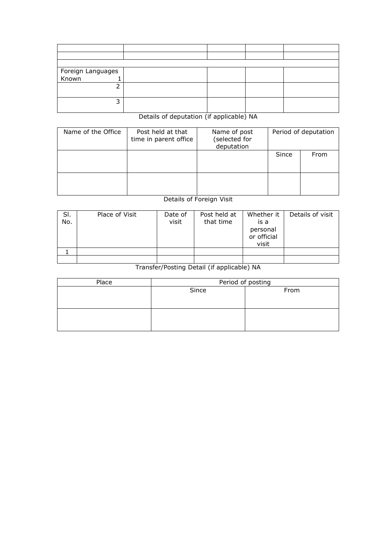| Foreign Languages<br>Known 1 |  |  |
|------------------------------|--|--|
|                              |  |  |
|                              |  |  |
|                              |  |  |
| ∍                            |  |  |
|                              |  |  |

## Details of deputation (if applicable) NA

| Name of the Office | Post held at that<br>time in parent office | Name of post<br>(selected for<br>deputation | Period of deputation |      |  |  |
|--------------------|--------------------------------------------|---------------------------------------------|----------------------|------|--|--|
|                    |                                            |                                             | Since                | From |  |  |
|                    |                                            |                                             |                      |      |  |  |

## Details of Foreign Visit

| SI.<br>No. | Place of Visit | Date of<br>visit | Post held at<br>that time | Whether it<br>is a<br>personal<br>or official<br>visit | Details of visit |
|------------|----------------|------------------|---------------------------|--------------------------------------------------------|------------------|
|            |                |                  |                           |                                                        |                  |
|            |                |                  |                           |                                                        |                  |

## Transfer/Posting Detail (if applicable) NA

| Place | Period of posting |      |  |  |  |  |  |
|-------|-------------------|------|--|--|--|--|--|
|       | Since             | From |  |  |  |  |  |
|       |                   |      |  |  |  |  |  |
|       |                   |      |  |  |  |  |  |
|       |                   |      |  |  |  |  |  |
|       |                   |      |  |  |  |  |  |
|       |                   |      |  |  |  |  |  |